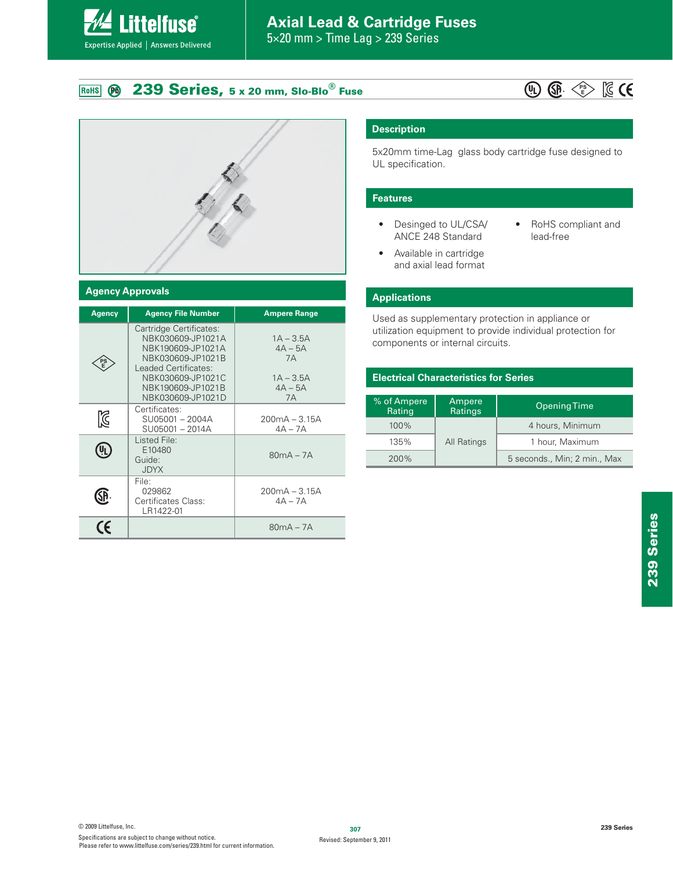# **Axial Lead & Cartridge Fuses**

 $5 \times 20$  mm > Time Lag > 239 Series

### 239 Series, 5 x 20 mm, Slo-Blo<sup>®</sup> Fuse  $\overline{P}$ RoHS

**Littelfuse**®

Expertise Applied | Answers Delivered





### **Agency Approvals**

| <b>Agency</b>                                       | <b>Agency File Number</b>                                                                                                                                                     | <b>Ampere Range</b>                                              |
|-----------------------------------------------------|-------------------------------------------------------------------------------------------------------------------------------------------------------------------------------|------------------------------------------------------------------|
|                                                     | Cartridge Certificates:<br>NBK030609-JP1021A<br>NBK190609-JP1021A<br>NBK030609-JP1021B<br>Leaded Certificates:<br>NBK030609-JP1021C<br>NBK190609-JP1021B<br>NBK030609-JP1021D | $1A - 3.5A$<br>$4A - 5A$<br>7A<br>$1A - 3.5A$<br>$4A - 5A$<br>7A |
| K                                                   | Certificates:<br>SU05001 - 2004A<br>SU05001 - 2014A                                                                                                                           | $200mA - 3.15A$<br>$4A - 7A$                                     |
|                                                     | Listed File:<br>E10480<br>Guide:<br><b>JDYX</b>                                                                                                                               | $80mA - 7A$                                                      |
| File:<br>029862<br>Certificates Class:<br>LR1422-01 |                                                                                                                                                                               | $200mA - 3.15A$<br>$4A - 7A$                                     |
| (F                                                  |                                                                                                                                                                               | $80mA - 7A$                                                      |

## **Description**

5x20mm time-Lag glass body cartridge fuse designed to UL specification.

### **Features**

- Desinged to UL/CSA/ ANCE 248 Standard
- RoHS compliant and lead-free
- Available in cartridge  $\bullet$ and axial lead format

### **Applications**

Used as supplementary protection in appliance or utilization equipment to provide individual protection for components or internal circuits.

### **Electrical Characteristics for Series**

| % of Ampere<br>Rating | Ampere<br>Ratings | Opening Time                 |
|-----------------------|-------------------|------------------------------|
| 100%                  |                   | 4 hours, Minimum             |
| 135%                  | All Ratings       | 1 hour, Maximum              |
| 200%                  |                   | 5 seconds., Min; 2 min., Max |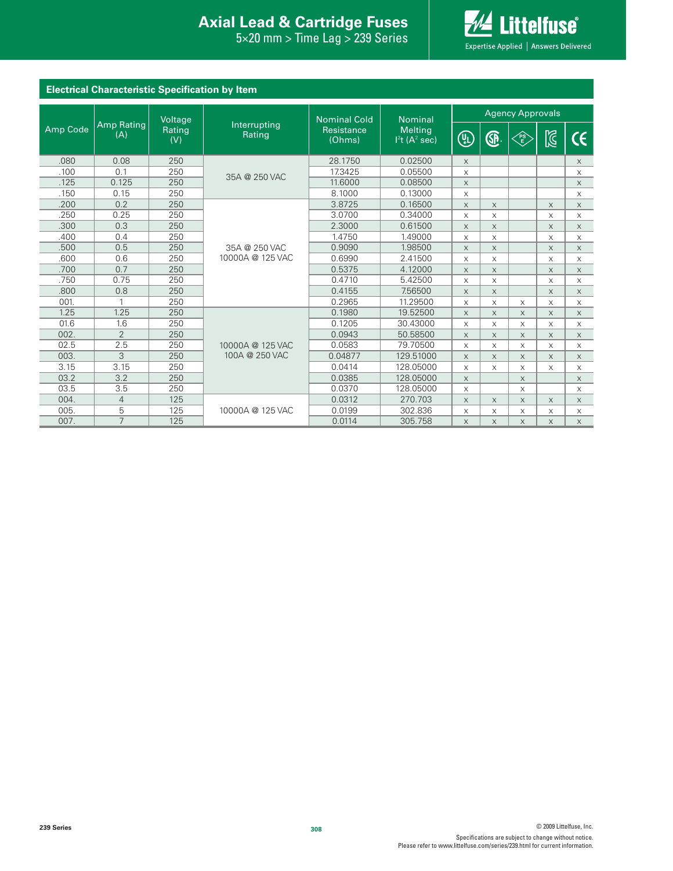### **Interproduced Avan Exists Protection Axial Lead & Cartridge Fuses Axial Lead & Cartridge Fuses**

 $\text{ng} > 239$  Series 5×20 mm > Time Lag > 239 Series



| <b>Electrical Characteristic Specification by Item</b> |                          |                                |                        |                             |                                       |             |          |          |              |             |
|--------------------------------------------------------|--------------------------|--------------------------------|------------------------|-----------------------------|---------------------------------------|-------------|----------|----------|--------------|-------------|
|                                                        |                          | Voltage<br><b>Nominal Cold</b> |                        | <b>Nominal</b>              | <b>Agency Approvals</b>               |             |          |          |              |             |
| Amp Code                                               | <b>Amp Rating</b><br>(A) | Rating<br>(V)                  | Interrupting<br>Rating | <b>Resistance</b><br>(Ohms) | Melting<br>$12t$ (A <sup>2</sup> sec) | (I)         | G.       | FS<br>E  | $\mathbb{Z}$ | CE.         |
| .080                                                   | 0.08                     | 250                            |                        | 28.1750                     | 0.02500                               | $\times$    |          |          |              | $\times$    |
| .100                                                   | 0.1                      | 250                            | 35A @ 250 VAC          | 17.3425                     | 0.05500                               | X           |          |          |              | X           |
| .125                                                   | 0.125                    | 250                            |                        | 11.6000                     | 0.08500                               | $\times$    |          |          |              | $\mathsf X$ |
| .150                                                   | 0.15                     | 250                            |                        | 8.1000                      | 0.13000                               | X           |          |          |              | $\times$    |
| .200                                                   | 0.2                      | 250                            |                        | 3.8725                      | 0.16500                               | $\times$    | X        |          | $\times$     | $\mathsf X$ |
| .250                                                   | 0.25                     | 250                            |                        | 3.0700                      | 0.34000                               | X           | X        |          | X            | X           |
| .300                                                   | 0.3                      | 250                            |                        | 2.3000                      | 0.61500                               | $\times$    | $\times$ |          | $\times$     | $\mathsf X$ |
| .400                                                   | 0.4                      | 250                            |                        | 1.4750                      | 1.49000                               | $\times$    | X        |          | $\mathsf X$  | X           |
| .500                                                   | 0.5                      | 250                            | 35A @ 250 VAC          | 0.9090                      | 1.98500                               | $\times$    | $\times$ |          | $\times$     | $\mathsf X$ |
| .600                                                   | 0.6                      | 250                            | 10000A @ 125 VAC       | 0.6990                      | 2.41500                               | $\times$    | X        |          | X            | X           |
| .700                                                   | 0.7                      | 250                            |                        | 0.5375                      | 4.12000                               | $\times$    | $\times$ |          | $\times$     | $\times$    |
| .750                                                   | 0.75                     | 250                            |                        | 0.4710                      | 5.42500                               | $\times$    | X        |          | $\times$     | X           |
| .800                                                   | 0.8                      | 250                            |                        | 0.4155                      | 7.56500                               | $\times$    | X        |          | $\times$     | $\mathsf X$ |
| 001.                                                   |                          | 250                            |                        | 0.2965                      | 11.29500                              | $\times$    | X        | X        | X            | X           |
| 1.25                                                   | 1.25                     | 250                            |                        | 0.1980                      | 19.52500                              | $\times$    | X        | $\times$ | $\times$     | $\mathsf X$ |
| 01.6                                                   | 1.6                      | 250                            |                        | 0.1205                      | 30.43000                              | $\times$    | X        | X        | $\times$     | X           |
| 002.                                                   | $\overline{2}$           | 250                            |                        | 0.0943                      | 50.58500                              | $\times$    | X        | $\times$ | $\times$     | $\times$    |
| 02.5                                                   | 2.5                      | 250                            | 10000A @ 125 VAC       | 0.0583                      | 79.70500                              | X           | X        | X        | $\times$     | X           |
| 003.                                                   | 3                        | 250                            | 100A @ 250 VAC         | 0.04877                     | 129.51000                             | $\times$    | $\times$ | $\times$ | $\times$     | $\mathsf X$ |
| 3.15                                                   | 3.15                     | 250                            |                        | 0.0414                      | 128.05000                             | X           | X        | X        | $\times$     | X           |
| 03.2                                                   | 3.2                      | 250                            |                        | 0.0385                      | 128.05000                             | $\times$    |          | $\times$ |              | $\mathsf X$ |
| 03.5                                                   | 3.5                      | 250                            |                        | 0.0370                      | 128.05000                             | $\times$    |          | X        |              | X           |
| 004.                                                   | $\overline{4}$           | 125                            |                        | 0.0312                      | 270.703                               | $\times$    | $\times$ | $\times$ | $\times$     | $\mathsf X$ |
| 005.                                                   | 5                        | 125                            | 10000A @ 125 VAC       | 0.0199                      | 302.836                               | X           | X        | X        | $\times$     | X           |
| 007.                                                   | $\overline{7}$           | 125                            |                        | 0.0114                      | 305.758                               | $\mathsf X$ | $\times$ | X        | $\mathsf X$  | $\mathsf X$ |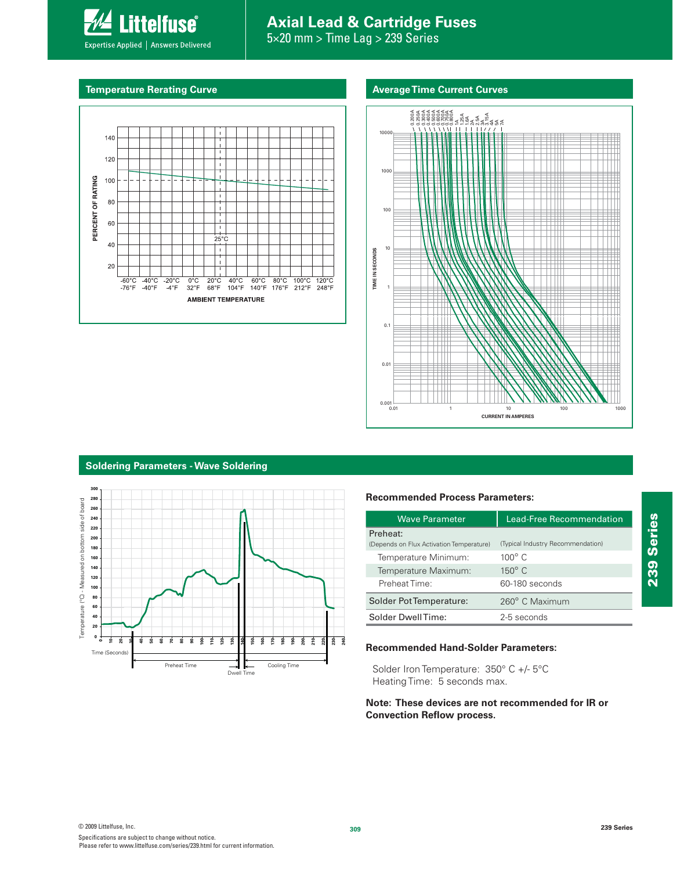# **Axial Lead & Cartridge Fuses**

5×20 mm > Time Lag > 239 Series

### **Temperature Rerating Curve Average Time Current Curves Average Time Current Curves**

Expertise Applied | Answers Delivered

**Littelfuse**®





## **Soldering Parameters - Wave Soldering**



### **Recommended Process Parameters:**

| <b>Wave Parameter</b>                                | Lead-Free Recommendation          |  |  |
|------------------------------------------------------|-----------------------------------|--|--|
| Preheat:<br>(Depends on Flux Activation Temperature) | (Typical Industry Recommendation) |  |  |
| Temperature Minimum:                                 | $100^\circ$ C                     |  |  |
| Temperature Maximum:                                 | $150^\circ$ C                     |  |  |
| Preheat Time:                                        | 60-180 seconds                    |  |  |
| Solder Pot Temperature:                              | 260° C Maximum                    |  |  |
| Solder DwellTime:                                    | 2-5 seconds                       |  |  |

### **Recommended Hand-Solder Parameters:**

Solder Iron Temperature: 350° C +/- 5°C Heating Time: 5 seconds max.

### **Note: These devices are not recommended for IR or Convection Reflow process.**